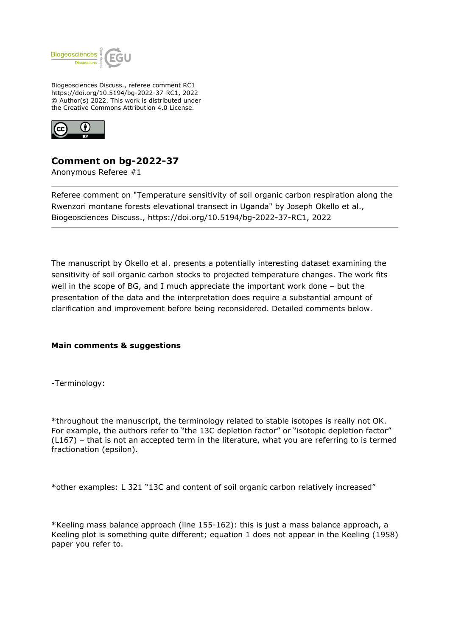

Biogeosciences Discuss., referee comment RC1 https://doi.org/10.5194/bg-2022-37-RC1, 2022 © Author(s) 2022. This work is distributed under the Creative Commons Attribution 4.0 License.



## **Comment on bg-2022-37**

Anonymous Referee #1

Referee comment on "Temperature sensitivity of soil organic carbon respiration along the Rwenzori montane forests elevational transect in Uganda" by Joseph Okello et al., Biogeosciences Discuss., https://doi.org/10.5194/bg-2022-37-RC1, 2022

The manuscript by Okello et al. presents a potentially interesting dataset examining the sensitivity of soil organic carbon stocks to projected temperature changes. The work fits well in the scope of BG, and I much appreciate the important work done – but the presentation of the data and the interpretation does require a substantial amount of clarification and improvement before being reconsidered. Detailed comments below.

## **Main comments & suggestions**

-Terminology:

\*throughout the manuscript, the terminology related to stable isotopes is really not OK. For example, the authors refer to "the 13C depletion factor" or "isotopic depletion factor" (L167) – that is not an accepted term in the literature, what you are referring to is termed fractionation (epsilon).

\*other examples: L 321 "13C and content of soil organic carbon relatively increased"

\*Keeling mass balance approach (line 155-162): this is just a mass balance approach, a Keeling plot is something quite different; equation 1 does not appear in the Keeling (1958) paper you refer to.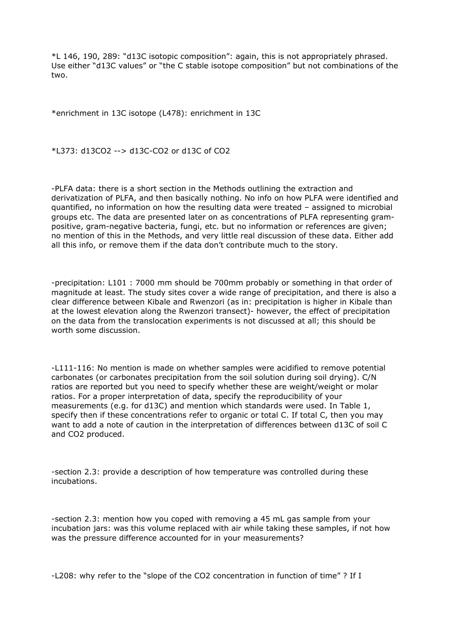\*L 146, 190, 289: "d13C isotopic composition": again, this is not appropriately phrased. Use either "d13C values" or "the C stable isotope composition" but not combinations of the two.

\*enrichment in 13C isotope (L478): enrichment in 13C

\*L373: d13CO2 --> d13C-CO2 or d13C of CO2

-PLFA data: there is a short section in the Methods outlining the extraction and derivatization of PLFA, and then basically nothing. No info on how PLFA were identified and quantified, no information on how the resulting data were treated – assigned to microbial groups etc. The data are presented later on as concentrations of PLFA representing grampositive, gram-negative bacteria, fungi, etc. but no information or references are given; no mention of this in the Methods, and very little real discussion of these data. Either add all this info, or remove them if the data don't contribute much to the story.

-precipitation: L101 : 7000 mm should be 700mm probably or something in that order of magnitude at least. The study sites cover a wide range of precipitation, and there is also a clear difference between Kibale and Rwenzori (as in: precipitation is higher in Kibale than at the lowest elevation along the Rwenzori transect)- however, the effect of precipitation on the data from the translocation experiments is not discussed at all; this should be worth some discussion.

-L111-116: No mention is made on whether samples were acidified to remove potential carbonates (or carbonates precipitation from the soil solution during soil drying). C/N ratios are reported but you need to specify whether these are weight/weight or molar ratios. For a proper interpretation of data, specify the reproducibility of your measurements (e.g. for d13C) and mention which standards were used. In Table 1, specify then if these concentrations refer to organic or total C. If total C, then you may want to add a note of caution in the interpretation of differences between d13C of soil C and CO2 produced.

-section 2.3: provide a description of how temperature was controlled during these incubations.

-section 2.3: mention how you coped with removing a 45 mL gas sample from your incubation jars: was this volume replaced with air while taking these samples, if not how was the pressure difference accounted for in your measurements?

-L208: why refer to the "slope of the CO2 concentration in function of time" ? If I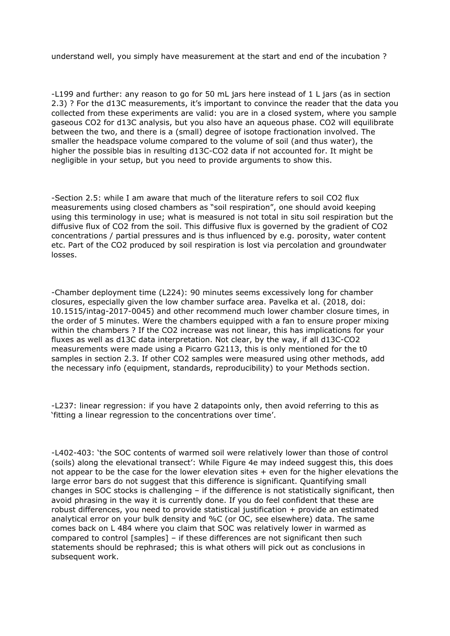understand well, you simply have measurement at the start and end of the incubation ?

-L199 and further: any reason to go for 50 mL jars here instead of 1 L jars (as in section 2.3) ? For the d13C measurements, it's important to convince the reader that the data you collected from these experiments are valid: you are in a closed system, where you sample gaseous CO2 for d13C analysis, but you also have an aqueous phase. CO2 will equilibrate between the two, and there is a (small) degree of isotope fractionation involved. The smaller the headspace volume compared to the volume of soil (and thus water), the higher the possible bias in resulting d13C-CO2 data if not accounted for. It might be negligible in your setup, but you need to provide arguments to show this.

-Section 2.5: while I am aware that much of the literature refers to soil CO2 flux measurements using closed chambers as "soil respiration", one should avoid keeping using this terminology in use; what is measured is not total in situ soil respiration but the diffusive flux of CO2 from the soil. This diffusive flux is governed by the gradient of CO2 concentrations / partial pressures and is thus influenced by e.g. porosity, water content etc. Part of the CO2 produced by soil respiration is lost via percolation and groundwater losses.

-Chamber deployment time (L224): 90 minutes seems excessively long for chamber closures, especially given the low chamber surface area. Pavelka et al. (2018, doi: 10.1515/intag-2017-0045) and other recommend much lower chamber closure times, in the order of 5 minutes. Were the chambers equipped with a fan to ensure proper mixing within the chambers ? If the CO2 increase was not linear, this has implications for your fluxes as well as d13C data interpretation. Not clear, by the way, if all d13C-CO2 measurements were made using a Picarro G2113, this is only mentioned for the t0 samples in section 2.3. If other CO2 samples were measured using other methods, add the necessary info (equipment, standards, reproducibility) to your Methods section.

-L237: linear regression: if you have 2 datapoints only, then avoid referring to this as 'fitting a linear regression to the concentrations over time'.

-L402-403: 'the SOC contents of warmed soil were relatively lower than those of control (soils) along the elevational transect': While Figure 4e may indeed suggest this, this does not appear to be the case for the lower elevation sites + even for the higher elevations the large error bars do not suggest that this difference is significant. Quantifying small changes in SOC stocks is challenging  $-$  if the difference is not statistically significant, then avoid phrasing in the way it is currently done. If you do feel confident that these are robust differences, you need to provide statistical justification + provide an estimated analytical error on your bulk density and %C (or OC, see elsewhere) data. The same comes back on L 484 where you claim that SOC was relatively lower in warmed as compared to control [samples] – if these differences are not significant then such statements should be rephrased; this is what others will pick out as conclusions in subsequent work.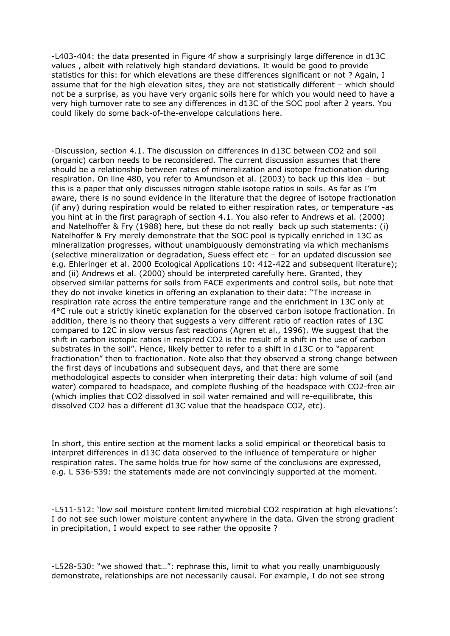-L403-404: the data presented in Figure 4f show a surprisingly large difference in d13C values , albeit with relatively high standard deviations. It would be good to provide statistics for this: for which elevations are these differences significant or not ? Again, I assume that for the high elevation sites, they are not statistically different – which should not be a surprise, as you have very organic soils here for which you would need to have a very high turnover rate to see any differences in d13C of the SOC pool after 2 years. You could likely do some back-of-the-envelope calculations here.

-Discussion, section 4.1. The discussion on differences in d13C between CO2 and soil (organic) carbon needs to be reconsidered. The current discussion assumes that there should be a relationship between rates of mineralization and isotope fractionation during respiration. On line 480, you refer to Amundson et al. (2003) to back up this idea – but this is a paper that only discusses nitrogen stable isotope ratios in soils. As far as I'm aware, there is no sound evidence in the literature that the degree of isotope fractionation (if any) during respiration would be related to either respiration rates, or temperature -as you hint at in the first paragraph of section 4.1. You also refer to Andrews et al. (2000) and Natelhoffer & Fry (1988) here, but these do not really back up such statements: (i) Natelhoffer & Fry merely demonstrate that the SOC pool is typically enriched in 13C as mineralization progresses, without unambiguously demonstrating via which mechanisms (selective mineralization or degradation, Suess effect etc – for an updated discussion see e.g. Ehleringer et al. 2000 Ecological Applications 10: 412-422 and subsequent literature); and (ii) Andrews et al. (2000) should be interpreted carefully here. Granted, they observed similar patterns for soils from FACE experiments and control soils, but note that they do not invoke kinetics in offering an explanation to their data: "The increase in respiration rate across the entire temperature range and the enrichment in 13C only at 4°C rule out a strictly kinetic explanation for the observed carbon isotope fractionation. In addition, there is no theory that suggests a very different ratio of reaction rates of 13C compared to 12C in slow versus fast reactions (Agren et al., 1996). We suggest that the shift in carbon isotopic ratios in respired CO2 is the result of a shift in the use of carbon substrates in the soil". Hence, likely better to refer to a shift in d13C or to "apparent fractionation" then to fractionation. Note also that they observed a strong change between the first days of incubations and subsequent days, and that there are some methodological aspects to consider when interpreting their data: high volume of soil (and water) compared to headspace, and complete flushing of the headspace with CO2-free air (which implies that CO2 dissolved in soil water remained and will re-equilibrate, this dissolved CO2 has a different d13C value that the headspace CO2, etc).

In short, this entire section at the moment lacks a solid empirical or theoretical basis to interpret differences in d13C data observed to the influence of temperature or higher respiration rates. The same holds true for how some of the conclusions are expressed, e.g. L 536-539: the statements made are not convincingly supported at the moment.

-L511-512: 'low soil moisture content limited microbial CO2 respiration at high elevations': I do not see such lower moisture content anywhere in the data. Given the strong gradient in precipitation, I would expect to see rather the opposite ?

-L528-530: "we showed that…": rephrase this, limit to what you really unambiguously demonstrate, relationships are not necessarily causal. For example, I do not see strong